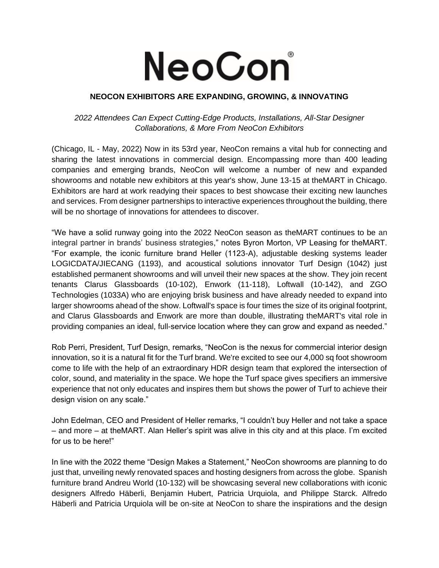## **NeoCon**

## **NEOCON EXHIBITORS ARE EXPANDING, GROWING, & INNOVATING**

## *2022 Attendees Can Expect Cutting-Edge Products, Installations, All-Star Designer Collaborations, & More From NeoCon Exhibitors*

(Chicago, IL - May, 2022) Now in its 53rd year, NeoCon remains a vital hub for connecting and sharing the latest innovations in commercial design. Encompassing more than 400 leading companies and emerging brands, NeoCon will welcome a number of new and expanded showrooms and notable new exhibitors at this year's show, June 13-15 at theMART in Chicago. Exhibitors are hard at work readying their spaces to best showcase their exciting new launches and services. From designer partnerships to interactive experiences throughout the building, there will be no shortage of innovations for attendees to discover.

"We have a solid runway going into the 2022 NeoCon season as theMART continues to be an integral partner in brands' business strategies," notes Byron Morton, VP Leasing for theMART. "For example, the iconic furniture brand Heller (1123-A), adjustable desking systems leader LOGICDATA/JIECANG (1193), and acoustical solutions innovator Turf Design (1042) just established permanent showrooms and will unveil their new spaces at the show. They join recent tenants Clarus Glassboards (10-102), Enwork (11-118), Loftwall (10-142), and ZGO Technologies (1033A) who are enjoying brisk business and have already needed to expand into larger showrooms ahead of the show. Loftwall's space is four times the size of its original footprint, and Clarus Glassboards and Enwork are more than double, illustrating theMART's vital role in providing companies an ideal, full-service location where they can grow and expand as needed."

Rob Perri, President, Turf Design, remarks, "NeoCon is the nexus for commercial interior design innovation, so it is a natural fit for the Turf brand. We're excited to see our 4,000 sq foot showroom come to life with the help of an extraordinary HDR design team that explored the intersection of color, sound, and materiality in the space. We hope the Turf space gives specifiers an immersive experience that not only educates and inspires them but shows the power of Turf to achieve their design vision on any scale."

John Edelman, CEO and President of Heller remarks, "I couldn't buy Heller and not take a space – and more – at theMART. Alan Heller's spirit was alive in this city and at this place. I'm excited for us to be here!"

In line with the 2022 theme "Design Makes a Statement," NeoCon showrooms are planning to do just that, unveiling newly renovated spaces and hosting designers from across the globe. Spanish furniture brand Andreu World (10-132) will be showcasing several new collaborations with iconic designers Alfredo Häberli, Benjamin Hubert, Patricia Urquiola, and Philippe Starck. Alfredo Häberli and Patricia Urquiola will be on-site at NeoCon to share the inspirations and the design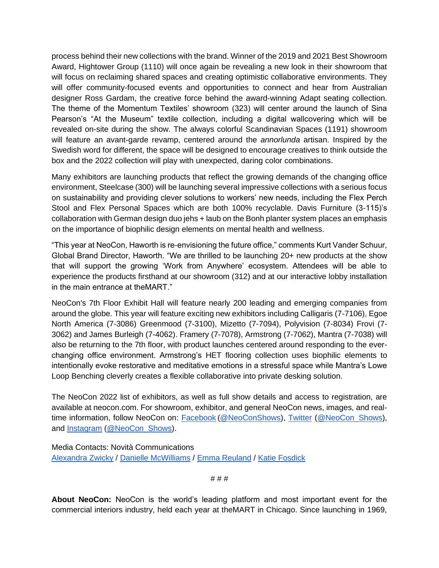process behind their new collections with the brand. Winner of the 2019 and 2021 Best Showroom Award, Hightower Group (1110) will once again be revealing a new look in their showroom that will focus on reclaiming shared spaces and creating optimistic collaborative environments. They will offer community-focused events and opportunities to connect and hear from Australian designer Ross Gardam, the creative force behind the award-winning Adapt seating collection. The theme of the Momentum Textiles' showroom (323) will center around the launch of Sina Pearson's "At the Museum" textile collection, including a digital wallcovering which will be revealed on-site during the show. The always colorful Scandinavian Spaces (1191) showroom will feature an avant-garde revamp, centered around the *annorlunda* artisan. Inspired by the Swedish word for different, the space will be designed to encourage creatives to think outside the box and the 2022 collection will play with unexpected, daring color combinations.

Many exhibitors are launching products that reflect the growing demands of the changing office environment, Steelcase (300) will be launching several impressive collections with a serious focus on sustainability and providing clever solutions to workers' new needs, including the Flex Perch Stool and Flex Personal Spaces which are both 100% recyclable. Davis Furniture (3-115)'s collaboration with German design duo jehs + laub on the Bonh planter system places an emphasis on the importance of biophilic design elements on mental health and wellness.

"This year at NeoCon, Haworth is re-envisioning the future office," comments Kurt Vander Schuur, Global Brand Director, Haworth. "We are thrilled to be launching 20+ new products at the show that will support the growing 'Work from Anywhere' ecosystem. Attendees will be able to experience the products firsthand at our showroom (312) and at our interactive lobby installation in the main entrance at theMART."

NeoCon's 7th Floor Exhibit Hall will feature nearly 200 leading and emerging companies from around the globe. This year will feature exciting new exhibitors including Calligaris (7-7106), Egoe North America (7-3086) Greenmood (7-3100), Mizetto (7-7094), Polyvision (7-8034) Frovi (7- 3062) and James Burleigh (7-4062). Framery (7-7078), Armstrong (7-7062), Mantra (7-7038) will also be returning to the 7th floor, with product launches centered around responding to the everchanging office environment. Armstrong's HET flooring collection uses biophilic elements to intentionally evoke restorative and meditative emotions in a stressful space while Mantra's Lowe Loop Benching cleverly creates a flexible collaborative into private desking solution.

The NeoCon 2022 list of exhibitors, as well as full show details and access to registration, are available at neocon.com. For showroom, exhibitor, and general NeoCon news, images, and realtime information, follow NeoCon on[:](https://www.facebook.com/neoconshows/?ref=br_rs) [Facebook](https://www.facebook.com/neoconshows/?ref=br_rs) [\(@NeoConShows\)](https://www.facebook.com/neoconshows/)[,](https://twitter.com/neocon_shows?lang=en) [Twitter](https://twitter.com/neocon_shows?lang=en) [\(@NeoCon\\_Shows\)](https://twitter.com/neocon_shows?lang=en), and [Instagram](https://www.instagram.com/neocon_shows/?hl=en) [\(@NeoCon\\_Shows\)](https://www.instagram.com/neocon_shows/?hl=en).

Media Contacts: Novità Communications [Alexandra Zwicky](mailto:alexandra@novitapr.com) / [Danielle McWilliams](mailto:danielle@novitapr.com) / [Emma Reuland](mailto:emma@novitapr.com) / [Katie Fosdick](mailto:katiefosdick@novitapr.com)

# # #

**About NeoCon:** NeoCon is the world's leading platform and most important event for the commercial interiors industry, held each year at theMART in Chicago. Since launching in 1969,